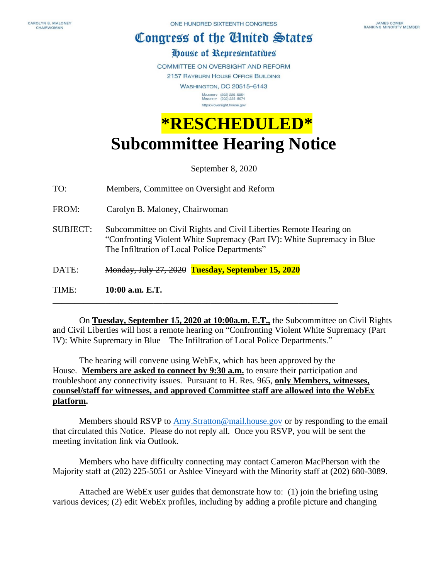## Congress of the Ginited States

## House of Representatibes

COMMITTEE ON OVERSIGHT AND REFORM

2157 RAYBURN HOUSE OFFICE BUILDING

**WASHINGTON, DC 20515-6143** MAJORITY (202) 225-5051<br>MINORITY (202) 225-5074 https://oversight.house.gov

## **\*RESCHEDULED\* Subcommittee Hearing Notice**

September 8, 2020

TO: Members, Committee on Oversight and Reform

FROM: Carolyn B. Maloney, Chairwoman

- SUBJECT: Subcommittee on Civil Rights and Civil Liberties Remote Hearing on "Confronting Violent White Supremacy (Part IV): White Supremacy in Blue— The Infiltration of Local Police Departments"
- DATE: Monday, July 27, 2020 **Tuesday, September 15, 2020**

\_\_\_\_\_\_\_\_\_\_\_\_\_\_\_\_\_\_\_\_\_\_\_\_\_\_\_\_\_\_\_\_\_\_\_\_\_\_\_\_\_\_\_\_\_\_\_\_\_\_\_\_\_\_\_\_\_\_\_\_\_\_\_\_\_

TIME: **10:00 a.m. E.T.**

 On **Tuesday, September 15, 2020 at 10:00a.m. E.T.,** the Subcommittee on Civil Rights and Civil Liberties will host a remote hearing on "Confronting Violent White Supremacy (Part IV): White Supremacy in Blue—The Infiltration of Local Police Departments."

 The hearing will convene using WebEx, which has been approved by the House. **Members are asked to connect by 9:30 a.m.** to ensure their participation and troubleshoot any connectivity issues. Pursuant to H. Res. 965, **only Members, witnesses, counsel/staff for witnesses, and approved Committee staff are allowed into the WebEx platform.**

Members should RSVP to [Amy.Stratton@mail.house.gov](mailto:Amy.Stratton@mail.house.gov) or by responding to the email that circulated this Notice. Please do not reply all. Once you RSVP, you will be sent the meeting invitation link via Outlook.

Members who have difficulty connecting may contact Cameron MacPherson with the Majority staff at (202) 225-5051 or Ashlee Vineyard with the Minority staff at (202) 680-3089.

Attached are WebEx user guides that demonstrate how to: (1) join the briefing using various devices; (2) edit WebEx profiles, including by adding a profile picture and changing